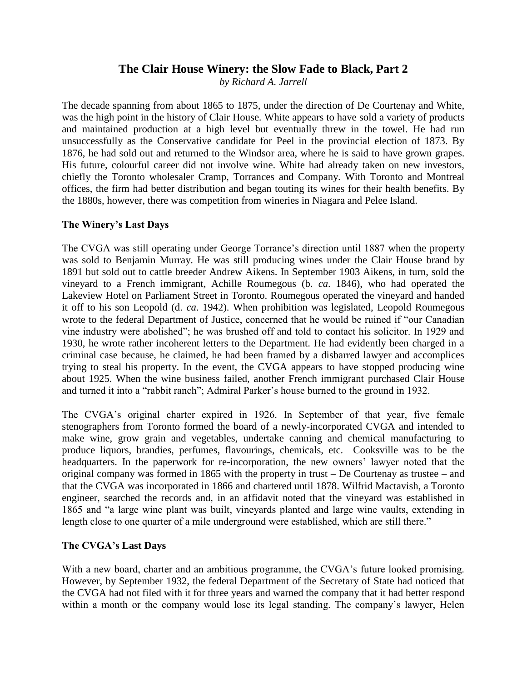# **The Clair House Winery: the Slow Fade to Black, Part 2**

*by Richard A. Jarrell*

The decade spanning from about 1865 to 1875, under the direction of De Courtenay and White, was the high point in the history of Clair House. White appears to have sold a variety of products and maintained production at a high level but eventually threw in the towel. He had run unsuccessfully as the Conservative candidate for Peel in the provincial election of 1873. By 1876, he had sold out and returned to the Windsor area, where he is said to have grown grapes. His future, colourful career did not involve wine. White had already taken on new investors, chiefly the Toronto wholesaler Cramp, Torrances and Company. With Toronto and Montreal offices, the firm had better distribution and began touting its wines for their health benefits. By the 1880s, however, there was competition from wineries in Niagara and Pelee Island.

## **The Winery's Last Days**

The CVGA was still operating under George Torrance's direction until 1887 when the property was sold to Benjamin Murray. He was still producing wines under the Clair House brand by 1891 but sold out to cattle breeder Andrew Aikens. In September 1903 Aikens, in turn, sold the vineyard to a French immigrant, Achille Roumegous (b. *ca*. 1846), who had operated the Lakeview Hotel on Parliament Street in Toronto. Roumegous operated the vineyard and handed it off to his son Leopold (d. *ca*. 1942). When prohibition was legislated, Leopold Roumegous wrote to the federal Department of Justice, concerned that he would be ruined if "our Canadian vine industry were abolished"; he was brushed off and told to contact his solicitor. In 1929 and 1930, he wrote rather incoherent letters to the Department. He had evidently been charged in a criminal case because, he claimed, he had been framed by a disbarred lawyer and accomplices trying to steal his property. In the event, the CVGA appears to have stopped producing wine about 1925. When the wine business failed, another French immigrant purchased Clair House and turned it into a "rabbit ranch"; Admiral Parker's house burned to the ground in 1932.

The CVGA's original charter expired in 1926. In September of that year, five female stenographers from Toronto formed the board of a newly-incorporated CVGA and intended to make wine, grow grain and vegetables, undertake canning and chemical manufacturing to produce liquors, brandies, perfumes, flavourings, chemicals, etc. Cooksville was to be the headquarters. In the paperwork for re-incorporation, the new owners' lawyer noted that the original company was formed in 1865 with the property in trust – De Courtenay as trustee – and that the CVGA was incorporated in 1866 and chartered until 1878. Wilfrid Mactavish, a Toronto engineer, searched the records and, in an affidavit noted that the vineyard was established in 1865 and "a large wine plant was built, vineyards planted and large wine vaults, extending in length close to one quarter of a mile underground were established, which are still there."

## **The CVGA's Last Days**

With a new board, charter and an ambitious programme, the CVGA's future looked promising. However, by September 1932, the federal Department of the Secretary of State had noticed that the CVGA had not filed with it for three years and warned the company that it had better respond within a month or the company would lose its legal standing. The company's lawyer, Helen